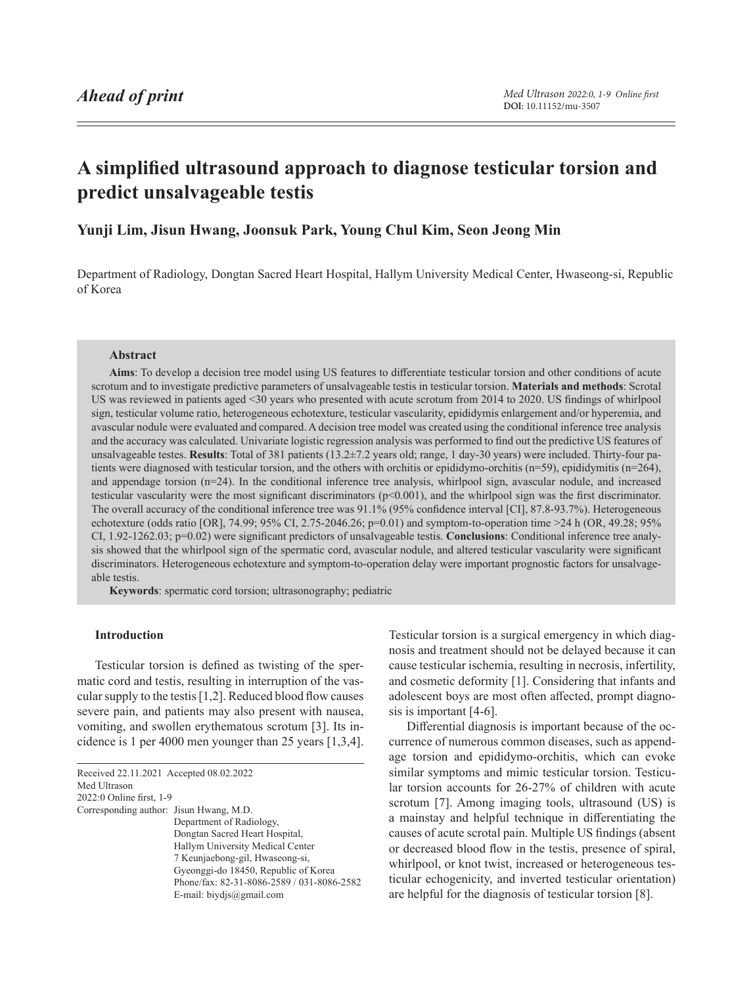# <span id="page-0-1"></span>**A simplified ultrasound approach to diagnose testicular torsion and predict unsalvageable testis**

**Yunji Lim, Jisun Hwang, Joonsuk Park, Young Chul Kim, Seon Jeong Min**

Department of Radiology, Dongtan Sacred Heart Hospital, Hallym University Medical Center, Hwaseong-si, Republic of Korea

## **Abstract**

**Aims**: To develop a decision tree model using US features to differentiate testicular torsion and other conditions of acute scrotum and to investigate predictive parameters of unsalvageable testis in testicular torsion. **Materials and methods**: Scrotal US was reviewed in patients aged <30 years who presented with acute scrotum from 2014 to 2020. US findings of whirlpool sign, testicular volume ratio, heterogeneous echotexture, testicular vascularity, epididymis enlargement and/or hyperemia, and avascular nodule were evaluated and compared. A decision tree model was created using the conditional inference tree analysis and the accuracy was calculated. Univariate logistic regression analysis was performed to find out the predictive US features of unsalvageable testes. **Results**: Total of 381 patients (13.2±7.2 years old; range, 1 day-30 years) were included. Thirty-four patients were diagnosed with testicular torsion, and the others with orchitis or epididymo-orchitis (n=59), epididymitis (n=264), and appendage torsion (n=24). In the conditional inference tree analysis, whirlpool sign, avascular nodule, and increased testicular vascularity were the most significant discriminators (p<0.001), and the whirlpool sign was the first discriminator. The overall accuracy of the conditional inference tree was 91.1% (95% confidence interval [CI], 87.8-93.7%). Heterogeneous echotexture (odds ratio [OR], 74.99; 95% CI, 2.75-2046.26; p=0.01) and symptom-to-operation time >24 h (OR, 49.28; 95% CI, 1.92-1262.03; p=0.02) were significant predictors of unsalvageable testis. **Conclusions**: Conditional inference tree analysis showed that the whirlpool sign of the spermatic cord, avascular nodule, and altered testicular vascularity were significant discriminators. Heterogeneous echotexture and symptom-to-operation delay were important prognostic factors for unsalvageable testis.

**Keywords**: spermatic cord torsion; ultrasonography; pediatric

# **Introduction**

Testicular torsion is defined as twisting of the spermatic cord and testis, resulting in interruption of the vascular supply to the testis [1,2]. Reduced blood flow causes severe pain, and patients may also present with nausea, vomiting, and swollen erythematous scrotum [3]. Its incidence is 1 per 4000 men younger than 25 years [1,3,4].

<span id="page-0-0"></span>

| Received 22.11.2021 Accepted 08.02.2022 |                                            |
|-----------------------------------------|--------------------------------------------|
| Med Ultrason                            |                                            |
| 2022:0 Online first, 1-9                |                                            |
| Corresponding author: Jisun Hwang, M.D. |                                            |
|                                         | Department of Radiology,                   |
|                                         | Dongtan Sacred Heart Hospital,             |
|                                         | Hallym University Medical Center           |
|                                         | 7 Keunjaebong-gil, Hwaseong-si,            |
|                                         | Gyeonggi-do 18450, Republic of Korea       |
|                                         | Phone/fax: 82-31-8086-2589 / 031-8086-2582 |
|                                         | E-mail: biydjs@gmail.com                   |
|                                         |                                            |

Testicular torsion is a surgical emergency in which diagnosis and treatment should not be delayed because it can cause testicular ischemia, resulting in necrosis, infertility, and cosmetic deformity [1]. Considering that infants and adolescent boys are most often affected, prompt diagnosis is important [4-6].

Differential diagnosis is important because of the occurrence of numerous common diseases, such as appendage torsion and epididymo-orchitis, which can evoke similar symptoms and mimic testicular torsion. Testicular torsion accounts for 26-27% of children with acute scrotum [7]. Among imaging tools, ultrasound (US) is a mainstay and helpful technique in differentiating the causes of acute scrotal pain. Multiple US findings (absent or decreased blood flow in the testis, presence of spiral, whirlpool, or knot twist, increased or heterogeneous testicular echogenicity, and inverted testicular orientation) are helpful for the diagnosis of testicular torsion [8].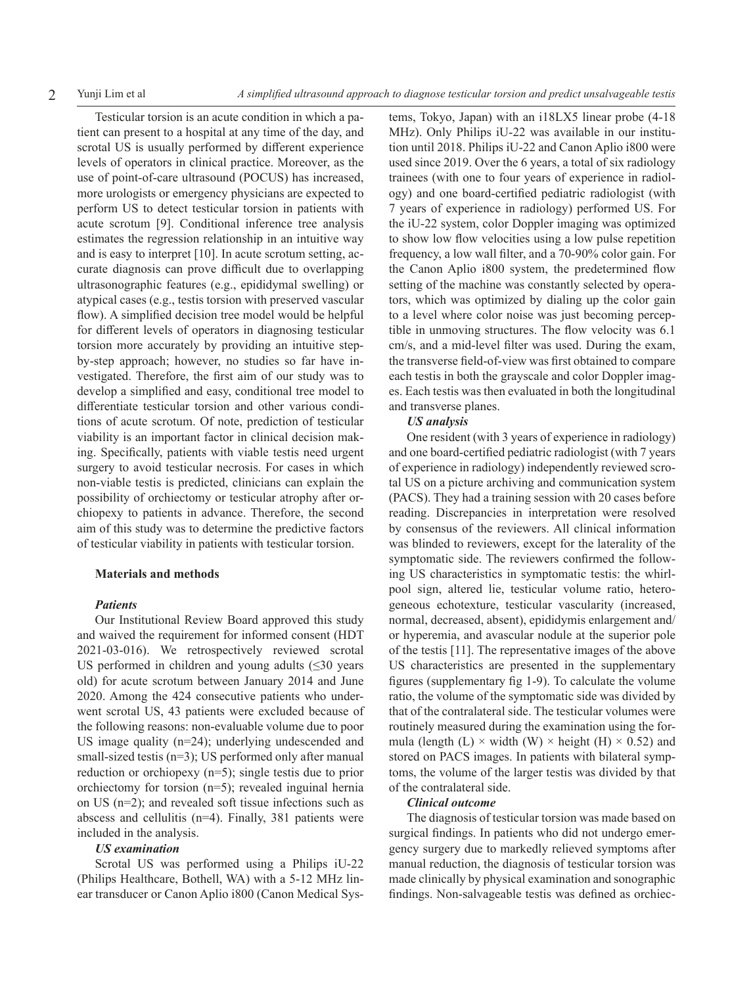Testicular torsion is an acute condition in which a patient can present to a hospital at any time of the day, and scrotal US is usually performed by different experience levels of operators in clinical practice. Moreover, as the use of point-of-care ultrasound (POCUS) has increased, more urologists or emergency physicians are expected to perform US to detect testicular torsion in patients with acute scrotum [9]. Conditional inference tree analysis estimates the regression relationship in an intuitive way and is easy to interpret [10]. In acute scrotum setting, accurate diagnosis can prove difficult due to overlapping ultrasonographic features (e.g., epididymal swelling) or atypical cases (e.g., testis torsion with preserved vascular flow). A simplified decision tree model would be helpful for different levels of operators in diagnosing testicular torsion more accurately by providing an intuitive stepby-step approach; however, no studies so far have investigated. Therefore, the first aim of our study was to develop a simplified and easy, conditional tree model to differentiate testicular torsion and other various conditions of acute scrotum. Of note, prediction of testicular viability is an important factor in clinical decision making. Specifically, patients with viable testis need urgent surgery to avoid testicular necrosis. For cases in which non-viable testis is predicted, clinicians can explain the possibility of orchiectomy or testicular atrophy after orchiopexy to patients in advance. Therefore, the second aim of this study was to determine the predictive factors of testicular viability in patients with testicular torsion.

#### **Materials and methods**

## *Patients*

Our Institutional Review Board approved this study and waived the requirement for informed consent (HDT 2021-03-016). We retrospectively reviewed scrotal US performed in children and young adults  $(\leq 30$  years old) for acute scrotum between January 2014 and June 2020. Among the 424 consecutive patients who underwent scrotal US, 43 patients were excluded because of the following reasons: non-evaluable volume due to poor US image quality (n=24); underlying undescended and small-sized testis (n=3); US performed only after manual reduction or orchiopexy (n=5); single testis due to prior orchiectomy for torsion (n=5); revealed inguinal hernia on US (n=2); and revealed soft tissue infections such as abscess and cellulitis (n=4). Finally, 381 patients were included in the analysis.

## *US examination*

Scrotal US was performed using a Philips iU-22 (Philips Healthcare, Bothell, WA) with a 5-12 MHz linear transducer or Canon Aplio i800 (Canon Medical Systems, Tokyo, Japan) with an i18LX5 linear probe (4-18 MHz). Only Philips iU-22 was available in our institution until 2018. Philips iU-22 and Canon Aplio i800 were used since 2019. Over the 6 years, a total of six radiology trainees (with one to four years of experience in radiology) and one board-certified pediatric radiologist (with 7 years of experience in radiology) performed US. For the iU-22 system, color Doppler imaging was optimized to show low flow velocities using a low pulse repetition frequency, a low wall filter, and a 70-90% color gain. For the Canon Aplio i800 system, the predetermined flow setting of the machine was constantly selected by operators, which was optimized by dialing up the color gain to a level where color noise was just becoming perceptible in unmoving structures. The flow velocity was 6.1 cm/s, and a mid-level filter was used. During the exam, the transverse field-of-view was first obtained to compare each testis in both the grayscale and color Doppler images. Each testis was then evaluated in both the longitudinal and transverse planes.

## *US analysis*

One resident (with 3 years of experience in radiology) and one board-certified pediatric radiologist (with 7 years of experience in radiology) independently reviewed scrotal US on a picture archiving and communication system (PACS). They had a training session with 20 cases before reading. Discrepancies in interpretation were resolved by consensus of the reviewers. All clinical information was blinded to reviewers, except for the laterality of the symptomatic side. The reviewers confirmed the following US characteristics in symptomatic testis: the whirlpool sign, altered lie, testicular volume ratio, heterogeneous echotexture, testicular vascularity (increased, normal, decreased, absent), epididymis enlargement and/ or hyperemia, and avascular nodule at the superior pole of the testis [11]. The representative images of the above US characteristics are presented in the supplementary figures (supplementary fig 1-9). To calculate the volume ratio, the volume of the symptomatic side was divided by that of the contralateral side. The testicular volumes were routinely measured during the examination using the formula (length (L)  $\times$  width (W)  $\times$  height (H)  $\times$  0.52) and stored on PACS images. In patients with bilateral symptoms, the volume of the larger testis was divided by that of the contralateral side.

#### *Clinical outcome*

The diagnosis of testicular torsion was made based on surgical findings. In patients who did not undergo emergency surgery due to markedly relieved symptoms after manual reduction, the diagnosis of testicular torsion was made clinically by physical examination and sonographic findings. Non-salvageable testis was defined as orchiec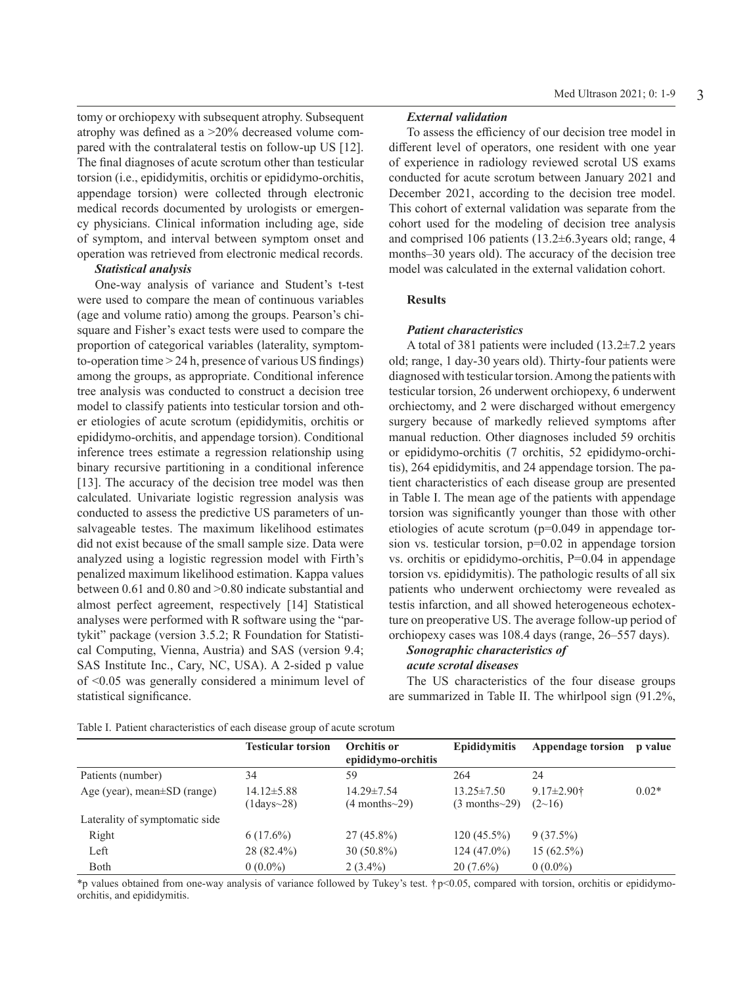tomy or orchiopexy with subsequent atrophy. Subsequent atrophy was defined as a >20% decreased volume compared with the contralateral testis on follow-up US [12]. The final diagnoses of acute scrotum other than testicular torsion (i.e., epididymitis, orchitis or epididymo-orchitis, appendage torsion) were collected through electronic medical records documented by urologists or emergency physicians. Clinical information including age, side of symptom, and interval between symptom onset and operation was retrieved from electronic medical records.

#### *Statistical analysis*

One-way analysis of variance and Student's t-test were used to compare the mean of continuous variables (age and volume ratio) among the groups. Pearson's chisquare and Fisher's exact tests were used to compare the proportion of categorical variables (laterality, symptomto-operation time > 24 h, presence of various US findings) among the groups, as appropriate. Conditional inference tree analysis was conducted to construct a decision tree model to classify patients into testicular torsion and other etiologies of acute scrotum (epididymitis, orchitis or epididymo-orchitis, and appendage torsion). Conditional inference trees estimate a regression relationship using binary recursive partitioning in a conditional inference [13]. The accuracy of the decision tree model was then calculated. Univariate logistic regression analysis was conducted to assess the predictive US parameters of unsalvageable testes. The maximum likelihood estimates did not exist because of the small sample size. Data were analyzed using a logistic regression model with Firth's penalized maximum likelihood estimation. Kappa values between 0.61 and 0.80 and >0.80 indicate substantial and almost perfect agreement, respectively [14] Statistical analyses were performed with R software using the "partykit" package (version 3.5.2; R Foundation for Statistical Computing, Vienna, Austria) and SAS (version 9.4; SAS Institute Inc., Cary, NC, USA). A 2-sided p value of <0.05 was generally considered a minimum level of statistical significance.

# *External validation*

To assess the efficiency of our decision tree model in different level of operators, one resident with one year of experience in radiology reviewed scrotal US exams conducted for acute scrotum between January 2021 and December 2021, according to the decision tree model. This cohort of external validation was separate from the cohort used for the modeling of decision tree analysis and comprised 106 patients (13.2±6.3years old; range, 4 months–30 years old). The accuracy of the decision tree model was calculated in the external validation cohort.

## **Results**

#### *Patient characteristics*

A total of 381 patients were included (13.2±7.2 years old; range, 1 day-30 years old). Thirty-four patients were diagnosed with testicular torsion. Among the patients with testicular torsion, 26 underwent orchiopexy, 6 underwent orchiectomy, and 2 were discharged without emergency surgery because of markedly relieved symptoms after manual reduction. Other diagnoses included 59 orchitis or epididymo-orchitis (7 orchitis, 52 epididymo-orchitis), 264 epididymitis, and 24 appendage torsion. The patient characteristics of each disease group are presented in Table I. The mean age of the patients with appendage torsion was significantly younger than those with other etiologies of acute scrotum (p=0.049 in appendage torsion vs. testicular torsion, p=0.02 in appendage torsion vs. orchitis or epididymo-orchitis, P=0.04 in appendage torsion vs. epididymitis). The pathologic results of all six patients who underwent orchiectomy were revealed as testis infarction, and all showed heterogeneous echotexture on preoperative US. The average follow-up period of orchiopexy cases was 108.4 days (range, 26–557 days).

## *Sonographic characteristics of acute scrotal diseases*

The US characteristics of the four disease groups are summarized in Table II. The whirlpool sign (91.2%,

|                                   | <b>Testicular torsion</b>                | Orchitis or<br>epididymo-orchitis          | <b>Epididymitis</b>                        | Appendage torsion           | p value |
|-----------------------------------|------------------------------------------|--------------------------------------------|--------------------------------------------|-----------------------------|---------|
| Patients (number)                 | 34                                       | 59                                         | 264                                        | 24                          |         |
| Age (year), mean $\pm SD$ (range) | $14.12 \pm 5.88$<br>$(1$ days $\sim$ 28) | $14.29 \pm 7.54$<br>$(4$ months $\sim$ 29) | $13.25 \pm 7.50$<br>$(3$ months $\sim$ 29) | $9.17 \pm 2.90$ †<br>(2~16) | $0.02*$ |
| Laterality of symptomatic side    |                                          |                                            |                                            |                             |         |
| Right                             | $6(17.6\%)$                              | $27(45.8\%)$                               | $120(45.5\%)$                              | $9(37.5\%)$                 |         |
| Left                              | 28 (82.4%)                               | $30(50.8\%)$                               | $124(47.0\%)$                              | $15(62.5\%)$                |         |
| Both                              | $0(0.0\%)$                               | $2(3.4\%)$                                 | $20(7.6\%)$                                | $0(0.0\%)$                  |         |

Table I. Patient characteristics of each disease group of acute scrotum

\*p values obtained from one-way analysis of variance followed by Tukey's test. †p<0.05, compared with torsion, orchitis or epididymoorchitis, and epididymitis.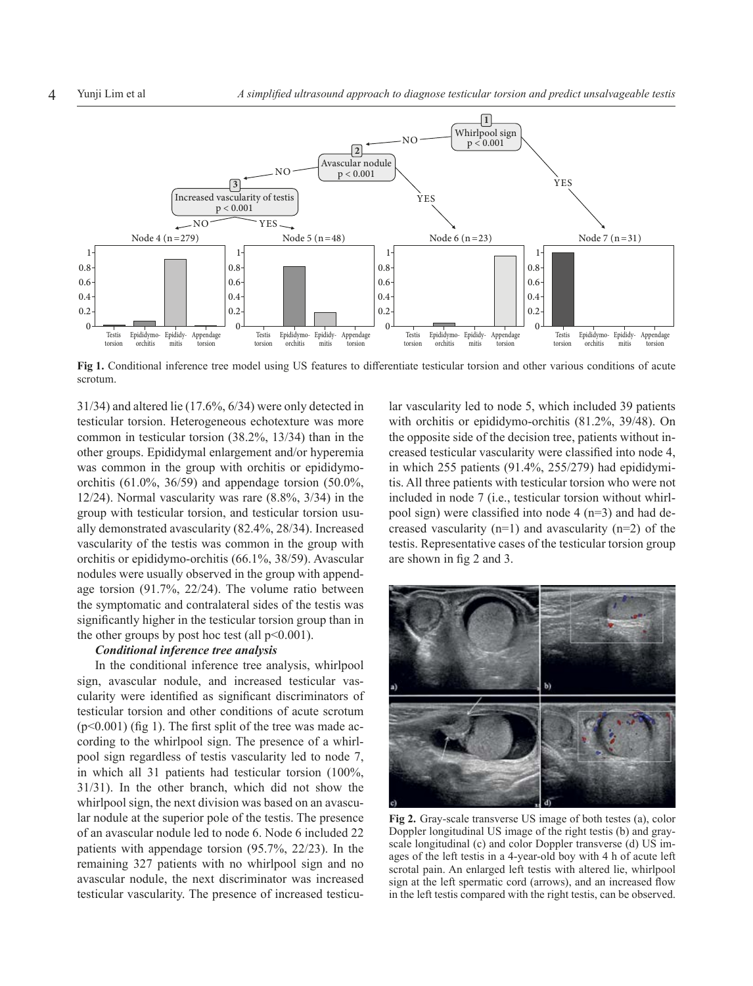

**Fig 1.** Conditional inference tree model using US features to differentiate testicular torsion and other various conditions of acute scrotum.

31/34) and altered lie (17.6%, 6/34) were only detected in testicular torsion. Heterogeneous echotexture was more common in testicular torsion (38.2%, 13/34) than in the other groups. Epididymal enlargement and/or hyperemia was common in the group with orchitis or epididymoorchitis (61.0%, 36/59) and appendage torsion (50.0%, 12/24). Normal vascularity was rare (8.8%, 3/34) in the group with testicular torsion, and testicular torsion usually demonstrated avascularity (82.4%, 28/34). Increased vascularity of the testis was common in the group with orchitis or epididymo-orchitis (66.1%, 38/59). Avascular nodules were usually observed in the group with appendage torsion (91.7%, 22/24). The volume ratio between the symptomatic and contralateral sides of the testis was significantly higher in the testicular torsion group than in the other groups by post hoc test (all  $p<0.001$ ).

#### *Conditional inference tree analysis*

In the conditional inference tree analysis, whirlpool sign, avascular nodule, and increased testicular vascularity were identified as significant discriminators of testicular torsion and other conditions of acute scrotum  $(p<0.001)$  (fig 1). The first split of the tree was made according to the whirlpool sign. The presence of a whirlpool sign regardless of testis vascularity led to node 7, in which all 31 patients had testicular torsion (100%, 31/31). In the other branch, which did not show the whirlpool sign, the next division was based on an avascular nodule at the superior pole of the testis. The presence of an avascular nodule led to node 6. Node 6 included 22 patients with appendage torsion (95.7%, 22/23). In the remaining 327 patients with no whirlpool sign and no avascular nodule, the next discriminator was increased testicular vascularity. The presence of increased testicular vascularity led to node 5, which included 39 patients with orchitis or epididymo-orchitis (81.2%, 39/48). On the opposite side of the decision tree, patients without increased testicular vascularity were classified into node 4, in which 255 patients (91.4%, 255/279) had epididymitis. All three patients with testicular torsion who were not included in node 7 (i.e., testicular torsion without whirlpool sign) were classified into node  $4$  (n=3) and had decreased vascularity  $(n=1)$  and avascularity  $(n=2)$  of the testis. Representative cases of the testicular torsion group are shown in fig 2 and 3.



**Fig 2.** Gray-scale transverse US image of both testes (a), color Doppler longitudinal US image of the right testis (b) and grayscale longitudinal (c) and color Doppler transverse (d) US images of the left testis in a 4-year-old boy with 4 h of acute left scrotal pain. An enlarged left testis with altered lie, whirlpool sign at the left spermatic cord (arrows), and an increased flow in the left testis compared with the right testis, can be observed.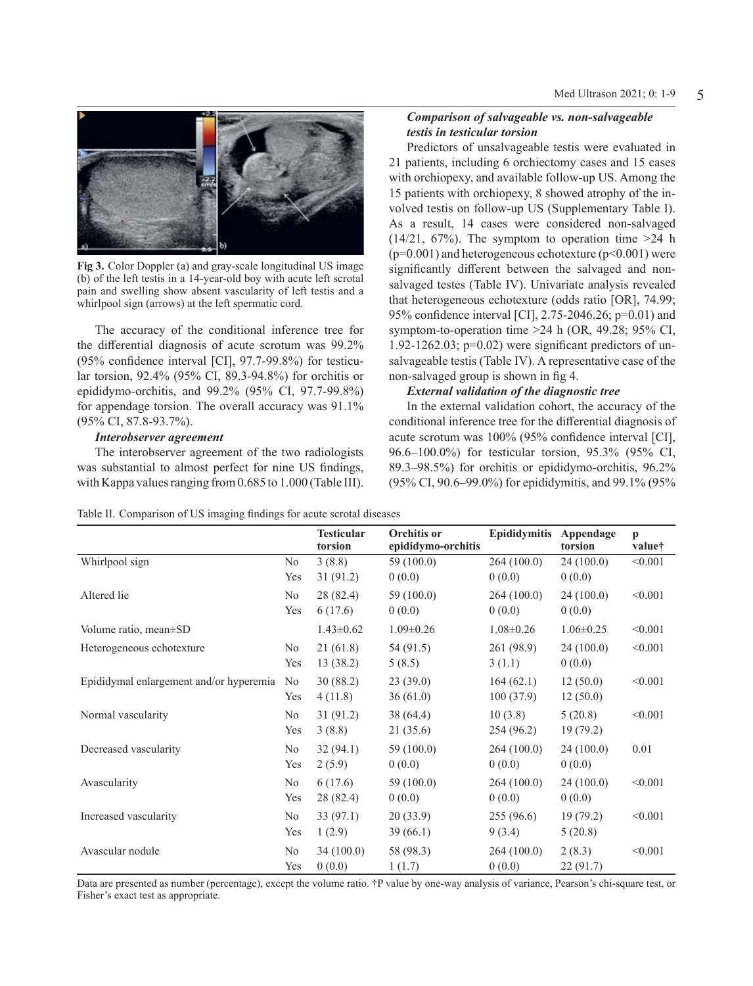

**Fig 3.** Color Doppler (a) and gray-scale longitudinal US image (b) of the left testis in a 14-year-old boy with acute left scrotal pain and swelling show absent vascularity of left testis and a whirlpool sign (arrows) at the left spermatic cord.

The accuracy of the conditional inference tree for the differential diagnosis of acute scrotum was 99.2% (95% confidence interval [CI], 97.7-99.8%) for testicular torsion, 92.4% (95% CI, 89.3-94.8%) for orchitis or epididymo-orchitis, and 99.2% (95% CI, 97.7-99.8%) for appendage torsion. The overall accuracy was 91.1% (95% CI, 87.8-93.7%).

## *Interobserver agreement*

The interobserver agreement of the two radiologists was substantial to almost perfect for nine US findings, with Kappa values ranging from 0.685 to 1.000 (Table III).

## *Comparison of salvageable vs. non-salvageable testis in testicular torsion*

Predictors of unsalvageable testis were evaluated in 21 patients, including 6 orchiectomy cases and 15 cases with orchiopexy, and available follow-up US. Among the 15 patients with orchiopexy, 8 showed atrophy of the involved testis on follow-up US (Supplementary Table I). As a result, 14 cases were considered non-salvaged  $(14/21, 67%)$ . The symptom to operation time  $>24$  h  $(p=0.001)$  and heterogeneous echotexture  $(p<0.001)$  were significantly different between the salvaged and nonsalvaged testes (Table IV). Univariate analysis revealed that heterogeneous echotexture (odds ratio [OR], 74.99; 95% confidence interval [CI], 2.75-2046.26; p=0.01) and symptom-to-operation time >24 h (OR, 49.28; 95% CI, 1.92-1262.03;  $p=0.02$ ) were significant predictors of unsalvageable testis (Table IV). A representative case of the non-salvaged group is shown in fig 4.

## *External validation of the diagnostic tree*

In the external validation cohort, the accuracy of the conditional inference tree for the differential diagnosis of acute scrotum was 100% (95% confidence interval [CI], 96.6–100.0%) for testicular torsion, 95.3% (95% CI, 89.3–98.5%) for orchitis or epididymo-orchitis, 96.2% (95% CI, 90.6–99.0%) for epididymitis, and 99.1% (95%

|  |  |  |  |  |  | Table II. Comparison of US imaging findings for acute scrotal diseases |  |
|--|--|--|--|--|--|------------------------------------------------------------------------|--|
|--|--|--|--|--|--|------------------------------------------------------------------------|--|

|                                         |                | <b>Testicular</b><br>torsion | Orchitis or<br>epididymo-orchitis | Epididymitis    | Appendage<br>torsion | $\mathbf{p}$<br>value† |
|-----------------------------------------|----------------|------------------------------|-----------------------------------|-----------------|----------------------|------------------------|
| Whirlpool sign                          | N <sub>0</sub> | 3(8.8)                       | 59 (100.0)                        | 264(100.0)      | 24(100.0)            | < 0.001                |
|                                         | Yes            | 31 (91.2)                    | 0(0.0)                            | 0(0.0)          | 0(0.0)               |                        |
| Altered lie                             | No             | 28 (82.4)                    | 59 (100.0)                        | 264(100.0)      | 24(100.0)            | < 0.001                |
|                                         | Yes            | 6(17.6)                      | 0(0.0)                            | 0(0.0)          | 0(0.0)               |                        |
| Volume ratio, mean±SD                   |                | $1.43 \pm 0.62$              | $1.09 \pm 0.26$                   | $1.08 \pm 0.26$ | $1.06 \pm 0.25$      | < 0.001                |
| Heterogeneous echotexture               | No             | 21(61.8)                     | 54 (91.5)                         | 261 (98.9)      | 24(100.0)            | < 0.001                |
|                                         | Yes            | 13(38.2)                     | 5(8.5)                            | 3(1.1)          | 0(0.0)               |                        |
| Epididymal enlargement and/or hyperemia | No             | 30(88.2)                     | 23(39.0)                          | 164(62.1)       | 12(50.0)             | < 0.001                |
|                                         | Yes            | 4(11.8)                      | 36(61.0)                          | 100(37.9)       | 12(50.0)             |                        |
| Normal vascularity                      | No             | 31(91.2)                     | 38 (64.4)                         | 10(3.8)         | 5(20.8)              | < 0.001                |
|                                         | Yes            | 3(8.8)                       | 21 (35.6)                         | 254 (96.2)      | 19(79.2)             |                        |
| Decreased vascularity                   | No             | 32(94.1)                     | 59 (100.0)                        | 264(100.0)      | 24(100.0)            | 0.01                   |
|                                         | Yes            | 2(5.9)                       | 0(0.0)                            | 0(0.0)          | 0(0.0)               |                        |
| Avascularity                            | No             | 6(17.6)                      | 59 (100.0)                        | 264(100.0)      | 24(100.0)            | < 0.001                |
|                                         | Yes            | 28 (82.4)                    | 0(0.0)                            | 0(0.0)          | 0(0.0)               |                        |
| Increased vascularity                   | No             | 33(97.1)                     | 20(33.9)                          | 255(96.6)       | 19(79.2)             | < 0.001                |
|                                         | Yes            | 1(2.9)                       | 39 (66.1)                         | 9(3.4)          | 5(20.8)              |                        |
| Avascular nodule                        | No             | 34(100.0)                    | 58 (98.3)                         | 264(100.0)      | 2(8.3)               | < 0.001                |
|                                         | Yes            | 0(0.0)                       | 1(1.7)                            | 0(0.0)          | 22 (91.7)            |                        |

Data are presented as number (percentage), except the volume ratio. †P value by one-way analysis of variance, Pearson's chi-square test, or Fisher's exact test as appropriate.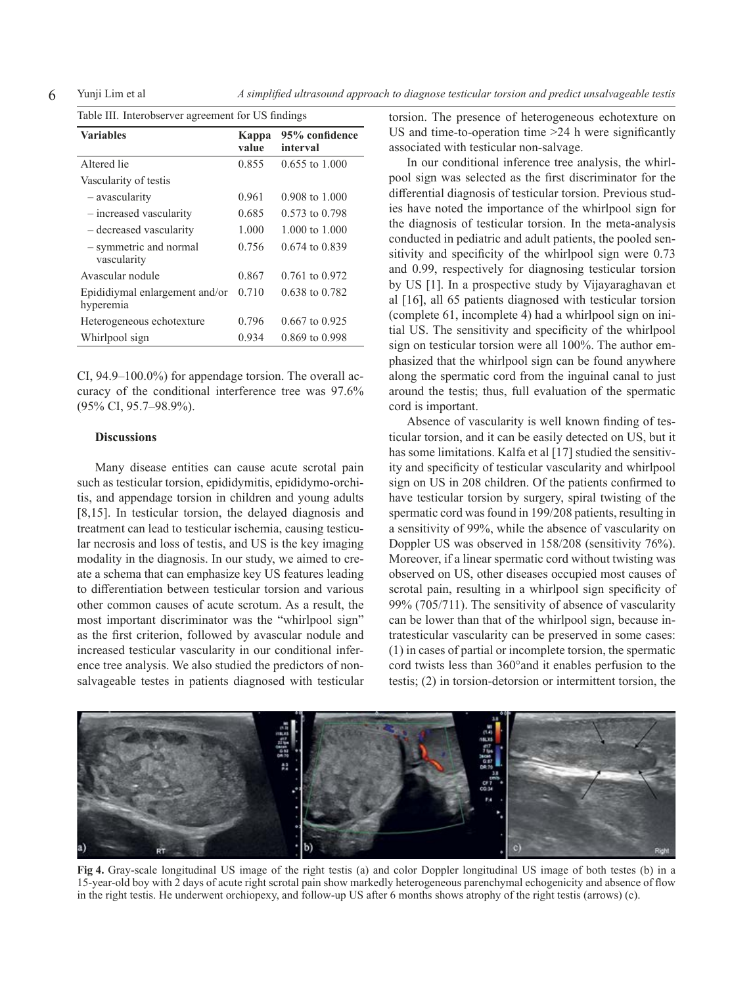| Table III. Interobserver agreement for US findings |                |                            |  |  |  |  |
|----------------------------------------------------|----------------|----------------------------|--|--|--|--|
| <b>Variables</b>                                   | Kappa<br>value | 95% confidence<br>interval |  |  |  |  |
| Altered lie                                        | 0.855          | $0.655$ to 1.000           |  |  |  |  |
| Vascularity of testis                              |                |                            |  |  |  |  |
| - avascularity                                     | 0.961          | $0.908 \text{ to } 1.000$  |  |  |  |  |
| - increased vascularity                            | 0.685          | $0.573$ to $0.798$         |  |  |  |  |
| - decreased vascularity                            | 1.000          | 1.000 to 1.000             |  |  |  |  |
| - symmetric and normal<br>vascularity              | 0.756          | 0.674 to 0.839             |  |  |  |  |
| Avascular nodule                                   | 0.867          | 0.761 to 0.972             |  |  |  |  |
| Epididiymal enlargement and/or<br>hyperemia        | 0.710          | 0.638 to 0.782             |  |  |  |  |
| Heterogeneous echotexture                          | 0.796          | 0.667 to 0.925             |  |  |  |  |
| Whirlpool sign                                     | 0.934          | 0.869 to 0.998             |  |  |  |  |

CI, 94.9–100.0%) for appendage torsion. The overall accuracy of the conditional interference tree was 97.6% (95% CI, 95.7–98.9%).

#### **Discussions**

Many disease entities can cause acute scrotal pain such as testicular torsion, epididymitis, epididymo-orchitis, and appendage torsion in children and young adults [8,15]. In testicular torsion, the delayed diagnosis and treatment can lead to testicular ischemia, causing testicular necrosis and loss of testis, and US is the key imaging modality in the diagnosis. In our study, we aimed to create a schema that can emphasize key US features leading to differentiation between testicular torsion and various other common causes of acute scrotum. As a result, the most important discriminator was the "whirlpool sign" as the first criterion, followed by avascular nodule and increased testicular vascularity in our conditional inference tree analysis. We also studied the predictors of nonsalvageable testes in patients diagnosed with testicular torsion. The presence of heterogeneous echotexture on US and time-to-operation time >24 h were significantly associated with testicular non-salvage.

In our conditional inference tree analysis, the whirlpool sign was selected as the first discriminator for the differential diagnosis of testicular torsion. Previous studies have noted the importance of the whirlpool sign for the diagnosis of testicular torsion. In the meta-analysis conducted in pediatric and adult patients, the pooled sensitivity and specificity of the whirlpool sign were 0.73 and 0.99, respectively for diagnosing testicular torsion by US [1]. In a prospective study by Vijayaraghavan et al [16], all 65 patients diagnosed with testicular torsion (complete 61, incomplete 4) had a whirlpool sign on initial US. The sensitivity and specificity of the whirlpool sign on testicular torsion were all 100%. The author emphasized that the whirlpool sign can be found anywhere along the spermatic cord from the inguinal canal to just around the testis; thus, full evaluation of the spermatic cord is important.

Absence of vascularity is well known finding of testicular torsion, and it can be easily detected on US, but it has some limitations. Kalfa et al [17] studied the sensitivity and specificity of testicular vascularity and whirlpool sign on US in 208 children. Of the patients confirmed to have testicular torsion by surgery, spiral twisting of the spermatic cord was found in 199/208 patients, resulting in a sensitivity of 99%, while the absence of vascularity on Doppler US was observed in 158/208 (sensitivity 76%). Moreover, if a linear spermatic cord without twisting was observed on US, other diseases occupied most causes of scrotal pain, resulting in a whirlpool sign specificity of 99% (705/711). The sensitivity of absence of vascularity can be lower than that of the whirlpool sign, because intratesticular vascularity can be preserved in some cases: (1) in cases of partial or incomplete torsion, the spermatic cord twists less than 360°and it enables perfusion to the testis; (2) in torsion-detorsion or intermittent torsion, the



**Fig 4.** Gray-scale longitudinal US image of the right testis (a) and color Doppler longitudinal US image of both testes (b) in a 15-year-old boy with 2 days of acute right scrotal pain show markedly heterogeneous parenchymal echogenicity and absence of flow in the right testis. He underwent orchiopexy, and follow-up US after 6 months shows atrophy of the right testis (arrows) (c).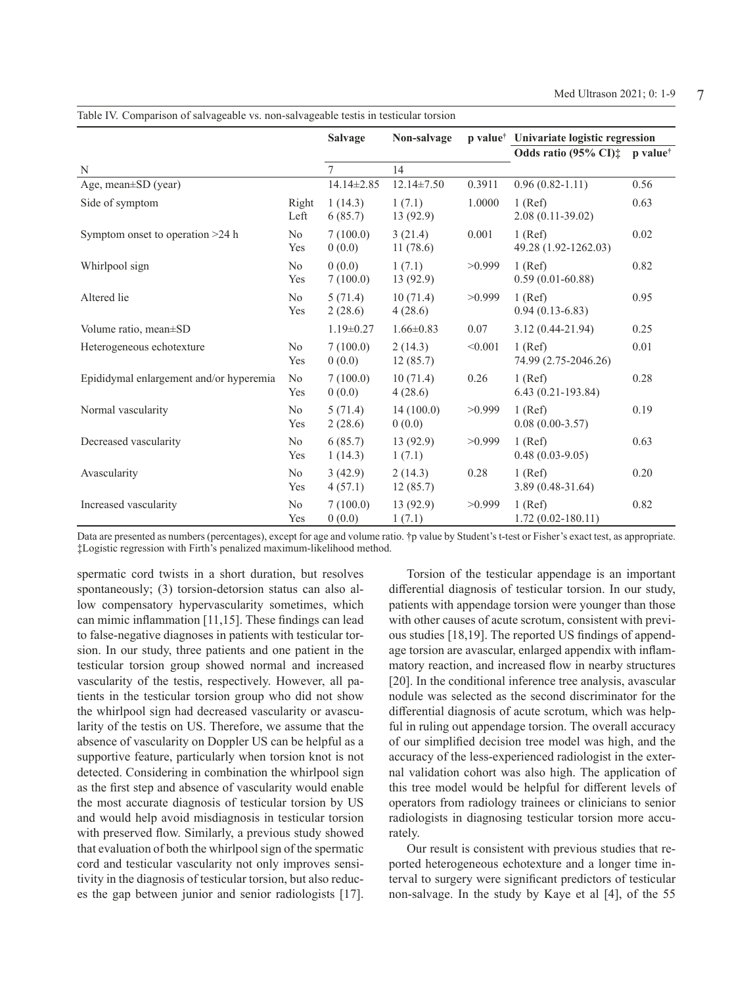|                                         |                       | <b>Salvage</b>     | Non-salvage         |         | p value <sup>†</sup> Univariate logistic regression |      |
|-----------------------------------------|-----------------------|--------------------|---------------------|---------|-----------------------------------------------------|------|
|                                         |                       |                    |                     |         | Odds ratio (95% CI) $\ddagger$ p value <sup>†</sup> |      |
| N                                       |                       | $\tau$             | 14                  |         |                                                     |      |
| Age, mean $\pm$ SD (year)               |                       | 14.14±2.85         | $12.14 \pm 7.50$    | 0.3911  | $0.96(0.82 - 1.11)$                                 | 0.56 |
| Side of symptom                         | Right<br>Left         | 1(14.3)<br>6(85.7) | 1(7.1)<br>13(92.9)  | 1.0000  | $1$ (Ref)<br>$2.08(0.11-39.02)$                     | 0.63 |
| Symptom onset to operation >24 h        | N <sub>o</sub><br>Yes | 7(100.0)<br>0(0.0) | 3(21.4)<br>11(78.6) | 0.001   | $1$ (Ref)<br>49.28 (1.92-1262.03)                   | 0.02 |
| Whirlpool sign                          | No<br>Yes             | 0(0.0)<br>7(100.0) | 1(7.1)<br>13(92.9)  | >0.999  | $1$ (Ref)<br>$0.59(0.01-60.88)$                     | 0.82 |
| Altered lie                             | No<br>Yes             | 5(71.4)<br>2(28.6) | 10(71.4)<br>4(28.6) | >0.999  | $1$ (Ref)<br>$0.94(0.13-6.83)$                      | 0.95 |
| Volume ratio, mean±SD                   |                       | $1.19 \pm 0.27$    | $1.66 \pm 0.83$     | 0.07    | $3.12(0.44 - 21.94)$                                | 0.25 |
| Heterogeneous echotexture               | N <sub>o</sub><br>Yes | 7(100.0)<br>0(0.0) | 2(14.3)<br>12(85.7) | < 0.001 | $1$ (Ref)<br>74.99 (2.75-2046.26)                   | 0.01 |
| Epididymal enlargement and/or hyperemia | No<br>Yes             | 7(100.0)<br>0(0.0) | 10(71.4)<br>4(28.6) | 0.26    | $1$ (Ref)<br>$6.43(0.21-193.84)$                    | 0.28 |
| Normal vascularity                      | No<br>Yes             | 5(71.4)<br>2(28.6) | 14(100.0)<br>0(0.0) | >0.999  | $1$ (Ref)<br>$0.08(0.00-3.57)$                      | 0.19 |
| Decreased vascularity                   | No<br>Yes             | 6(85.7)<br>1(14.3) | 13(92.9)<br>1(7.1)  | >0.999  | $1$ (Ref)<br>$0.48(0.03-9.05)$                      | 0.63 |
| Avascularity                            | No<br>Yes             | 3(42.9)<br>4(57.1) | 2(14.3)<br>12(85.7) | 0.28    | $1$ (Ref)<br>$3.89(0.48-31.64)$                     | 0.20 |
| Increased vascularity                   | No<br>Yes             | 7(100.0)<br>0(0.0) | 13(92.9)<br>1(7.1)  | >0.999  | $1$ (Ref)<br>$1.72(0.02 - 180.11)$                  | 0.82 |

Table IV. Comparison of salvageable vs. non-salvageable testis in testicular torsion

Data are presented as numbers (percentages), except for age and volume ratio. †p value by Student's t-test or Fisher's exact test, as appropriate. ‡Logistic regression with Firth's penalized maximum-likelihood method.

spermatic cord twists in a short duration, but resolves spontaneously; (3) torsion-detorsion status can also allow compensatory hypervascularity sometimes, which can mimic inflammation [11,15]. These findings can lead to false-negative diagnoses in patients with testicular torsion. In our study, three patients and one patient in the testicular torsion group showed normal and increased vascularity of the testis, respectively. However, all patients in the testicular torsion group who did not show the whirlpool sign had decreased vascularity or avascularity of the testis on US. Therefore, we assume that the absence of vascularity on Doppler US can be helpful as a supportive feature, particularly when torsion knot is not detected. Considering in combination the whirlpool sign as the first step and absence of vascularity would enable the most accurate diagnosis of testicular torsion by US and would help avoid misdiagnosis in testicular torsion with preserved flow. Similarly, a previous study showed that evaluation of both the whirlpool sign of the spermatic cord and testicular vascularity not only improves sensitivity in the diagnosis of testicular torsion, but also reduces the gap between junior and senior radiologists [17].

Torsion of the testicular appendage is an important differential diagnosis of testicular torsion. In our study, patients with appendage torsion were younger than those with other causes of acute scrotum, consistent with previous studies [18,19]. The reported US findings of appendage torsion are avascular, enlarged appendix with inflammatory reaction, and increased flow in nearby structures [20]. In the conditional inference tree analysis, avascular nodule was selected as the second discriminator for the differential diagnosis of acute scrotum, which was helpful in ruling out appendage torsion. The overall accuracy of our simplified decision tree model was high, and the accuracy of the less-experienced radiologist in the external validation cohort was also high. The application of this tree model would be helpful for different levels of operators from radiology trainees or clinicians to senior radiologists in diagnosing testicular torsion more accurately.

Our result is consistent with previous studies that reported heterogeneous echotexture and a longer time interval to surgery were significant predictors of testicular non-salvage. In the study by Kaye et al [4], of the 55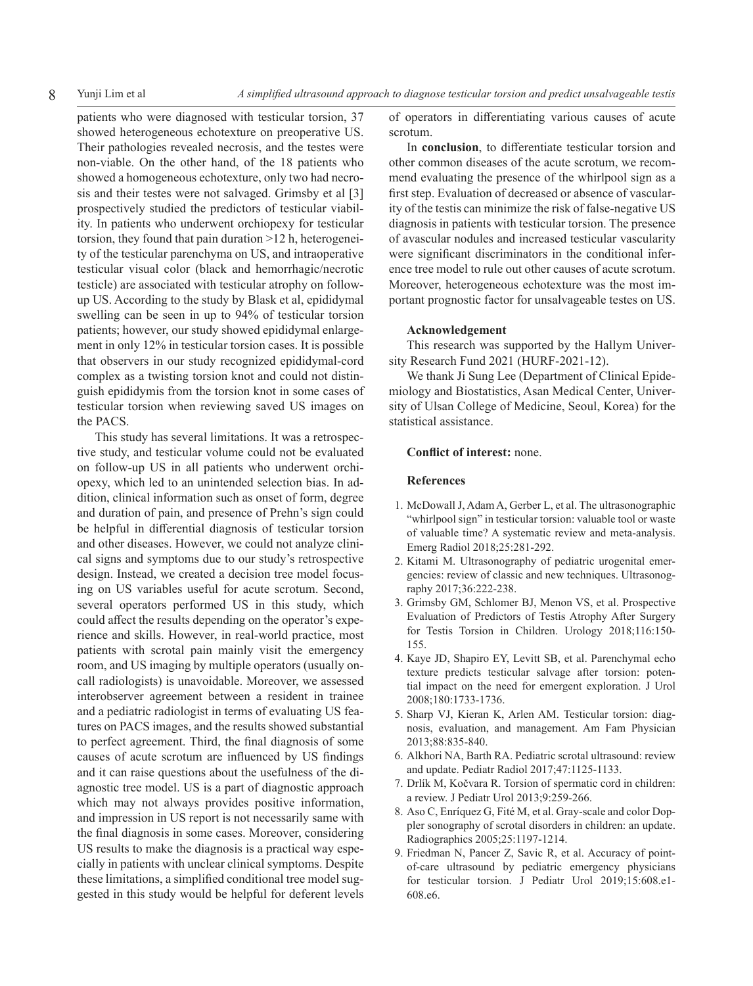patients who were diagnosed with testicular torsion, 37 showed heterogeneous echotexture on preoperative US. Their pathologies revealed necrosis, and the testes were non-viable. On the other hand, of the 18 patients who showed a homogeneous echotexture, only two had necrosis and their testes were not salvaged. Grimsby et al [3] prospectively studied the predictors of testicular viability. In patients who underwent orchiopexy for testicular torsion, they found that pain duration >12 h, heterogeneity of the testicular parenchyma on US, and intraoperative testicular visual color (black and hemorrhagic/necrotic testicle) are associated with testicular atrophy on followup US. According to the study by Blask et al, epididymal swelling can be seen in up to 94% of testicular torsion patients; however, our study showed epididymal enlargement in only 12% in testicular torsion cases. It is possible that observers in our study recognized epididymal-cord complex as a twisting torsion knot and could not distinguish epididymis from the torsion knot in some cases of testicular torsion when reviewing saved US images on the PACS.

This study has several limitations. It was a retrospective study, and testicular volume could not be evaluated on follow-up US in all patients who underwent orchiopexy, which led to an unintended selection bias. In addition, clinical information such as onset of form, degree and duration of pain, and presence of Prehn's sign could be helpful in differential diagnosis of testicular torsion and other diseases. However, we could not analyze clinical signs and symptoms due to our study's retrospective design. Instead, we created a decision tree model focusing on US variables useful for acute scrotum. Second, several operators performed US in this study, which could affect the results depending on the operator's experience and skills. However, in real-world practice, most patients with scrotal pain mainly visit the emergency room, and US imaging by multiple operators (usually oncall radiologists) is unavoidable. Moreover, we assessed interobserver agreement between a resident in trainee and a pediatric radiologist in terms of evaluating US features on PACS images, and the results showed substantial to perfect agreement. Third, the final diagnosis of some causes of acute scrotum are influenced by US findings and it can raise questions about the usefulness of the diagnostic tree model. US is a part of diagnostic approach which may not always provides positive information, and impression in US report is not necessarily same with the final diagnosis in some cases. Moreover, considering US results to make the diagnosis is a practical way especially in patients with unclear clinical symptoms. Despite these limitations, a simplified conditional tree model suggested in this study would be helpful for deferent levels

of operators in differentiating various causes of acute scrotum.

In **conclusion**, to differentiate testicular torsion and other common diseases of the acute scrotum, we recommend evaluating the presence of the whirlpool sign as a first step. Evaluation of decreased or absence of vascularity of the testis can minimize the risk of false-negative US diagnosis in patients with testicular torsion. The presence of avascular nodules and increased testicular vascularity were significant discriminators in the conditional inference tree model to rule out other causes of acute scrotum. Moreover, heterogeneous echotexture was the most important prognostic factor for unsalvageable testes on US.

#### **Acknowledgement**

This research was supported by the Hallym University Research Fund 2021 (HURF-2021-12).

We thank Ji Sung Lee (Department of Clinical Epidemiology and Biostatistics, Asan Medical Center, University of Ulsan College of Medicine, Seoul, Korea) for the statistical assistance.

#### **Conflict of interest:** none.

## **References**

- 1. McDowall J, Adam A, Gerber L, et al. The ultrasonographic "whirlpool sign" in testicular torsion: valuable tool or waste of valuable time? A systematic review and meta-analysis. Emerg Radiol 2018;25:281-292.
- 2. Kitami M. Ultrasonography of pediatric urogenital emergencies: review of classic and new techniques. Ultrasonography 2017;36:222-238.
- 3. Grimsby GM, Schlomer BJ, Menon VS, et al. Prospective Evaluation of Predictors of Testis Atrophy After Surgery for Testis Torsion in Children. Urology 2018;116:150- 155.
- 4. Kaye JD, Shapiro EY, Levitt SB, et al. Parenchymal echo texture predicts testicular salvage after torsion: potential impact on the need for emergent exploration. J Urol 2008;180:1733-1736.
- 5. Sharp VJ, Kieran K, Arlen AM. Testicular torsion: diagnosis, evaluation, and management. Am Fam Physician 2013;88:835-840.
- 6. Alkhori NA, Barth RA. Pediatric scrotal ultrasound: review and update. Pediatr Radiol 2017;47:1125-1133.
- 7. Drlík M, Kočvara R. Torsion of spermatic cord in children: a review. J Pediatr Urol 2013;9:259-266.
- 8. Aso C, Enríquez G, Fité M, et al. Gray-scale and color Doppler sonography of scrotal disorders in children: an update. Radiographics 2005;25:1197-1214.
- 9. Friedman N, Pancer Z, Savic R, et al. Accuracy of pointof-care ultrasound by pediatric emergency physicians for testicular torsion. J Pediatr Urol 2019;15:608.e1- 608.e6.